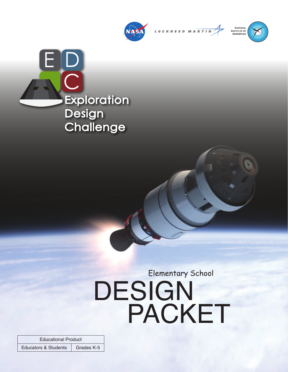

LOCKHEED MA<mark>RTIN</mark>



E D  $\bigcap$ **Exploration Design Challenge** 

# DESIGN PACKET Elementary School

Educational Product Educators & Students Grades K-5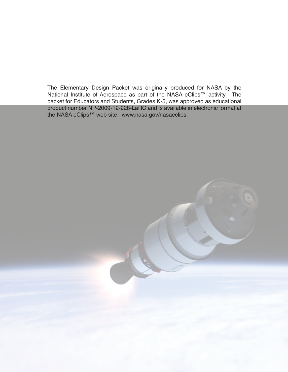The Elementary Design Packet was originally produced for NASA by the National Institute of Aerospace as part of the NASA eClips™ activity. The packet for Educators and Students, Grades K-5, was approved as educational product number NP-2009-12-228-LaRC and is available in electronic format at the NASA eClips™ web site: www.nasa.gov/nasaeclips.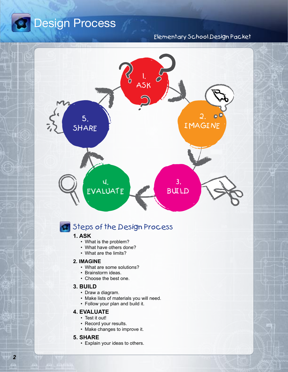

### Elementary School Design Packet



## Steps of the Design Process

### **1. ASK**

- What is the problem?
- What have others done?
- What are the limits?

#### **2. IMAGINE**

- What are some solutions?
- Brainstorm ideas.
- Choose the best one.

#### **3. BUILD**

- Draw a diagram.
- Make lists of materials you will need.
- Follow your plan and build it.

#### **4. EVALUATE**

- Test it out!
- Record your results.
- Make changes to improve it.

#### **5. SHARE**

• Explain your ideas to others.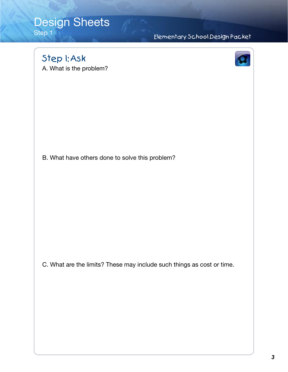# Design Sheets

Step 1

## Elementary School Design Packet

Step 1: Ask

A. What is the problem?



B. What have others done to solve this problem?

C. What are the limits? These may include such things as cost or time.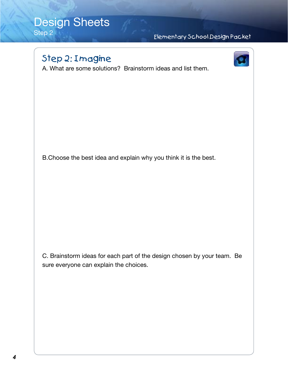## Design Sheets Step 2

Elementary School Design Packet

# Step 2: Imagine



A. What are some solutions? Brainstorm ideas and list them.

B.Choose the best idea and explain why you think it is the best.

C. Brainstorm ideas for each part of the design chosen by your team. Be sure everyone can explain the choices.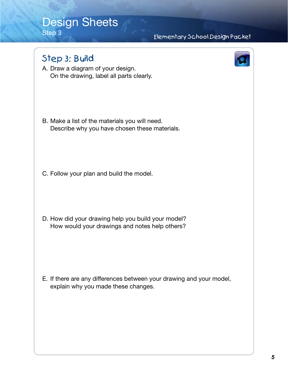# Design Sheets

Step 3

## Elementary School Design Packet

## Step 3: Build

A. Draw a diagram of your design. On the drawing, label all parts clearly.

B. Make a list of the materials you will need. Describe why you have chosen these materials.

C. Follow your plan and build the model.

D. How did your drawing help you build your model? How would your drawings and notes help others?

E. If there are any differences between your drawing and your model, explain why you made these changes.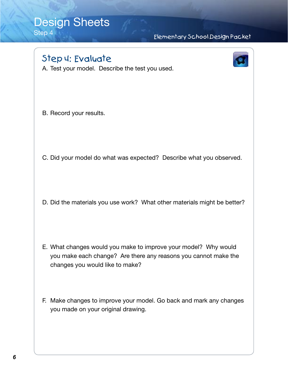## Design Sheets Step 4

Elementary School Design Packet

# Step 4: Evaluate

A. Test your model. Describe the test you used.



B. Record your results.

- C. Did your model do what was expected? Describe what you observed.
- D. Did the materials you use work? What other materials might be better?

- E. What changes would you make to improve your model? Why would you make each change? Are there any reasons you cannot make the changes you would like to make?
- F. Make changes to improve your model. Go back and mark any changes you made on your original drawing.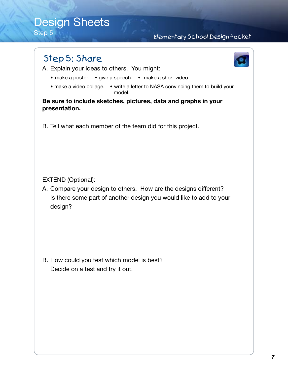# Design Sheets

Step 5

### Elementary School Design Packet

## Step 5: Share

A. Explain your ideas to others. You might:

- make a poster. give a speech. make a short video.
- make a video collage. write a letter to NASA convincing them to build your model.

**Be sure to include sketches, pictures, data and graphs in your presentation.** 

B. Tell what each member of the team did for this project.

EXTEND (Optional):

A. Compare your design to others. How are the designs different? Is there some part of another design you would like to add to your design?

B. How could you test which model is best? Decide on a test and try it out.